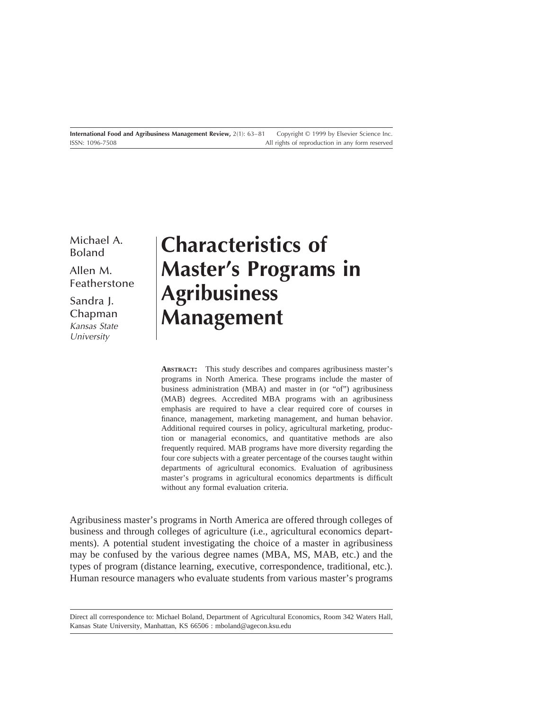Michael A. Boland

Allen M. Featherstone

Sandra J. Chapman Kansas State **University** 

# **Characteristics of Master's Programs in Agribusiness Management**

**ABSTRACT:** This study describes and compares agribusiness master's programs in North America. These programs include the master of business administration (MBA) and master in (or "of") agribusiness (MAB) degrees. Accredited MBA programs with an agribusiness emphasis are required to have a clear required core of courses in finance, management, marketing management, and human behavior. Additional required courses in policy, agricultural marketing, production or managerial economics, and quantitative methods are also frequently required. MAB programs have more diversity regarding the four core subjects with a greater percentage of the courses taught within departments of agricultural economics. Evaluation of agribusiness master's programs in agricultural economics departments is difficult without any formal evaluation criteria.

Agribusiness master's programs in North America are offered through colleges of business and through colleges of agriculture (i.e., agricultural economics departments). A potential student investigating the choice of a master in agribusiness may be confused by the various degree names (MBA, MS, MAB, etc.) and the types of program (distance learning, executive, correspondence, traditional, etc.). Human resource managers who evaluate students from various master's programs

Direct all correspondence to: Michael Boland, Department of Agricultural Economics, Room 342 Waters Hall, Kansas State University, Manhattan, KS 66506 : mboland@agecon.ksu.edu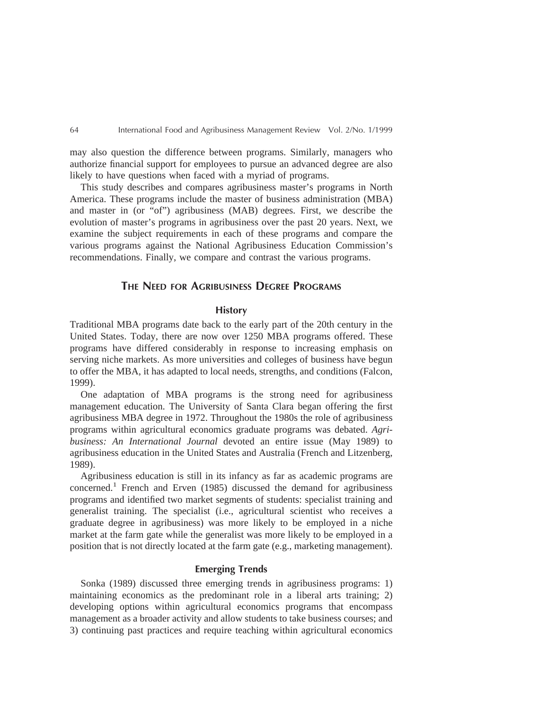may also question the difference between programs. Similarly, managers who authorize financial support for employees to pursue an advanced degree are also likely to have questions when faced with a myriad of programs.

This study describes and compares agribusiness master's programs in North America. These programs include the master of business administration (MBA) and master in (or "of") agribusiness (MAB) degrees. First, we describe the evolution of master's programs in agribusiness over the past 20 years. Next, we examine the subject requirements in each of these programs and compare the various programs against the National Agribusiness Education Commission's recommendations. Finally, we compare and contrast the various programs.

# **THE NEED FOR AGRIBUSINESS DEGREE PROGRAMS**

# **History**

Traditional MBA programs date back to the early part of the 20th century in the United States. Today, there are now over 1250 MBA programs offered. These programs have differed considerably in response to increasing emphasis on serving niche markets. As more universities and colleges of business have begun to offer the MBA, it has adapted to local needs, strengths, and conditions (Falcon, 1999).

One adaptation of MBA programs is the strong need for agribusiness management education. The University of Santa Clara began offering the first agribusiness MBA degree in 1972. Throughout the 1980s the role of agribusiness programs within agricultural economics graduate programs was debated. *Agribusiness: An International Journal* devoted an entire issue (May 1989) to agribusiness education in the United States and Australia (French and Litzenberg, 1989).

Agribusiness education is still in its infancy as far as academic programs are concerned.<sup>1</sup> French and Erven (1985) discussed the demand for agribusiness programs and identified two market segments of students: specialist training and generalist training. The specialist (i.e., agricultural scientist who receives a graduate degree in agribusiness) was more likely to be employed in a niche market at the farm gate while the generalist was more likely to be employed in a position that is not directly located at the farm gate (e.g., marketing management).

### **Emerging Trends**

Sonka (1989) discussed three emerging trends in agribusiness programs: 1) maintaining economics as the predominant role in a liberal arts training; 2) developing options within agricultural economics programs that encompass management as a broader activity and allow students to take business courses; and 3) continuing past practices and require teaching within agricultural economics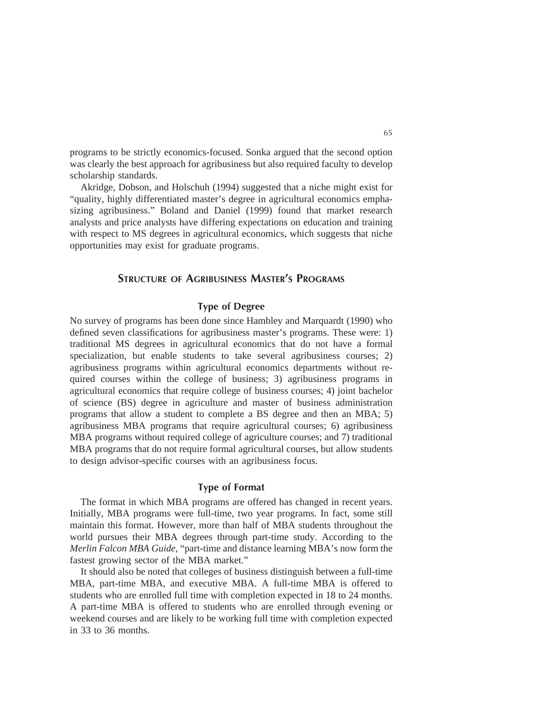programs to be strictly economics-focused. Sonka argued that the second option was clearly the best approach for agribusiness but also required faculty to develop scholarship standards.

Akridge, Dobson, and Holschuh (1994) suggested that a niche might exist for "quality, highly differentiated master's degree in agricultural economics emphasizing agribusiness." Boland and Daniel (1999) found that market research analysts and price analysts have differing expectations on education and training with respect to MS degrees in agricultural economics, which suggests that niche opportunities may exist for graduate programs.

# **STRUCTURE OF AGRIBUSINESS MASTER'S PROGRAMS**

#### **Type of Degree**

No survey of programs has been done since Hambley and Marquardt (1990) who defined seven classifications for agribusiness master's programs. These were: 1) traditional MS degrees in agricultural economics that do not have a formal specialization, but enable students to take several agribusiness courses; 2) agribusiness programs within agricultural economics departments without required courses within the college of business; 3) agribusiness programs in agricultural economics that require college of business courses; 4) joint bachelor of science (BS) degree in agriculture and master of business administration programs that allow a student to complete a BS degree and then an MBA; 5) agribusiness MBA programs that require agricultural courses; 6) agribusiness MBA programs without required college of agriculture courses; and 7) traditional MBA programs that do not require formal agricultural courses, but allow students to design advisor-specific courses with an agribusiness focus.

#### **Type of Format**

The format in which MBA programs are offered has changed in recent years. Initially, MBA programs were full-time, two year programs. In fact, some still maintain this format. However, more than half of MBA students throughout the world pursues their MBA degrees through part-time study. According to the *Merlin Falcon MBA Guide*, "part-time and distance learning MBA's now form the fastest growing sector of the MBA market."

It should also be noted that colleges of business distinguish between a full-time MBA, part-time MBA, and executive MBA. A full-time MBA is offered to students who are enrolled full time with completion expected in 18 to 24 months. A part-time MBA is offered to students who are enrolled through evening or weekend courses and are likely to be working full time with completion expected in 33 to 36 months.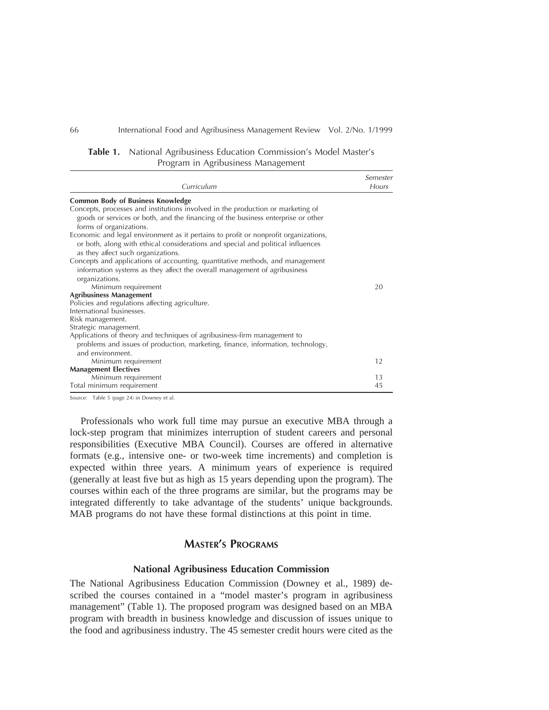|                                                                                     | Semester |
|-------------------------------------------------------------------------------------|----------|
| Curriculum                                                                          | Hours    |
| <b>Common Body of Business Knowledge</b>                                            |          |
| Concepts, processes and institutions involved in the production or marketing of     |          |
| goods or services or both, and the financing of the business enterprise or other    |          |
| forms of organizations.                                                             |          |
| Economic and legal environment as it pertains to profit or nonprofit organizations, |          |
| or both, along with ethical considerations and special and political influences     |          |
| as they affect such organizations.                                                  |          |
| Concepts and applications of accounting, quantitative methods, and management       |          |
| information systems as they affect the overall management of agribusiness           |          |
| organizations.                                                                      |          |
| Minimum requirement                                                                 | 20       |
| <b>Agribusiness Management</b>                                                      |          |
| Policies and regulations affecting agriculture.                                     |          |
| International businesses.                                                           |          |
| Risk management.                                                                    |          |
| Strategic management.                                                               |          |
| Applications of theory and techniques of agribusiness-firm management to            |          |
| problems and issues of production, marketing, finance, information, technology,     |          |
| and environment.                                                                    |          |
| Minimum requirement                                                                 | 12       |
| <b>Management Electives</b>                                                         |          |
| Minimum requirement                                                                 | 13       |
| Total minimum requirement                                                           | 45       |

| <b>Table 1.</b> National Agribusiness Education Commission's Model Master's |
|-----------------------------------------------------------------------------|
| Program in Agribusiness Management                                          |

Source: Table 5 (page 24) in Downey et al.

Professionals who work full time may pursue an executive MBA through a lock-step program that minimizes interruption of student careers and personal responsibilities (Executive MBA Council). Courses are offered in alternative formats (e.g., intensive one- or two-week time increments) and completion is expected within three years. A minimum years of experience is required (generally at least five but as high as 15 years depending upon the program). The courses within each of the three programs are similar, but the programs may be integrated differently to take advantage of the students' unique backgrounds. MAB programs do not have these formal distinctions at this point in time.

# **MASTER'S PROGRAMS**

#### **National Agribusiness Education Commission**

The National Agribusiness Education Commission (Downey et al., 1989) described the courses contained in a "model master's program in agribusiness management" (Table 1). The proposed program was designed based on an MBA program with breadth in business knowledge and discussion of issues unique to the food and agribusiness industry. The 45 semester credit hours were cited as the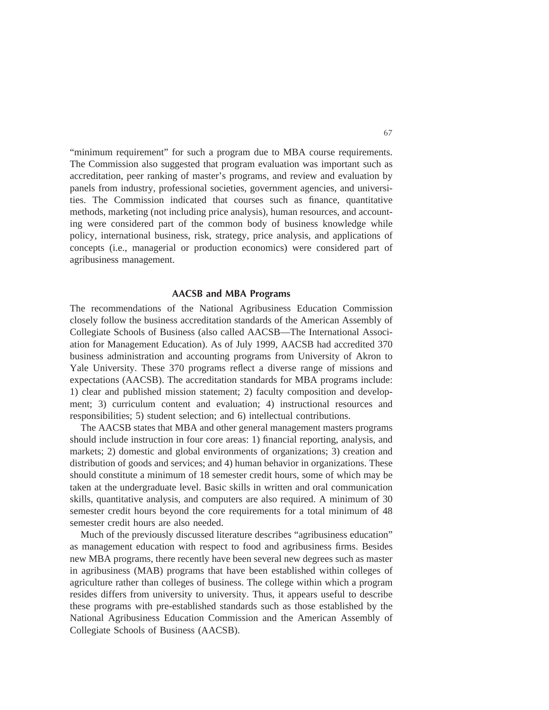"minimum requirement" for such a program due to MBA course requirements. The Commission also suggested that program evaluation was important such as accreditation, peer ranking of master's programs, and review and evaluation by panels from industry, professional societies, government agencies, and universities. The Commission indicated that courses such as finance, quantitative methods, marketing (not including price analysis), human resources, and accounting were considered part of the common body of business knowledge while policy, international business, risk, strategy, price analysis, and applications of concepts (i.e., managerial or production economics) were considered part of agribusiness management.

#### **AACSB and MBA Programs**

The recommendations of the National Agribusiness Education Commission closely follow the business accreditation standards of the American Assembly of Collegiate Schools of Business (also called AACSB—The International Association for Management Education). As of July 1999, AACSB had accredited 370 business administration and accounting programs from University of Akron to Yale University. These 370 programs reflect a diverse range of missions and expectations (AACSB). The accreditation standards for MBA programs include: 1) clear and published mission statement; 2) faculty composition and development; 3) curriculum content and evaluation; 4) instructional resources and responsibilities; 5) student selection; and 6) intellectual contributions.

The AACSB states that MBA and other general management masters programs should include instruction in four core areas: 1) financial reporting, analysis, and markets; 2) domestic and global environments of organizations; 3) creation and distribution of goods and services; and 4) human behavior in organizations. These should constitute a minimum of 18 semester credit hours, some of which may be taken at the undergraduate level. Basic skills in written and oral communication skills, quantitative analysis, and computers are also required. A minimum of 30 semester credit hours beyond the core requirements for a total minimum of 48 semester credit hours are also needed.

Much of the previously discussed literature describes "agribusiness education" as management education with respect to food and agribusiness firms. Besides new MBA programs, there recently have been several new degrees such as master in agribusiness (MAB) programs that have been established within colleges of agriculture rather than colleges of business. The college within which a program resides differs from university to university. Thus, it appears useful to describe these programs with pre-established standards such as those established by the National Agribusiness Education Commission and the American Assembly of Collegiate Schools of Business (AACSB).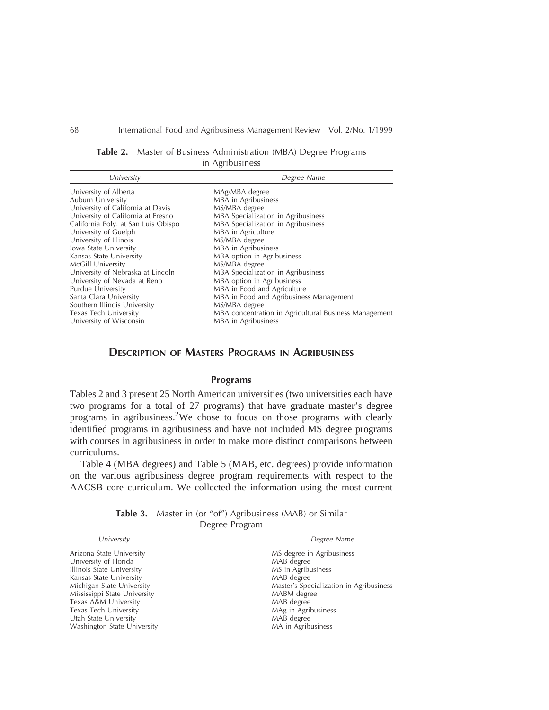| University                          | Degree Name                                           |
|-------------------------------------|-------------------------------------------------------|
| University of Alberta               | MAg/MBA degree                                        |
| Auburn University                   | MBA in Agribusiness                                   |
| University of California at Davis   | MS/MBA degree                                         |
| University of California at Fresno  | MBA Specialization in Agribusiness                    |
| California Poly. at San Luis Obispo | MBA Specialization in Agribusiness                    |
| University of Guelph                | MBA in Agriculture                                    |
| University of Illinois              | MS/MBA degree                                         |
| Iowa State University               | MBA in Agribusiness                                   |
| Kansas State University             | MBA option in Agribusiness                            |
| McGill University                   | MS/MBA degree                                         |
| University of Nebraska at Lincoln   | MBA Specialization in Agribusiness                    |
| University of Nevada at Reno        | MBA option in Agribusiness                            |
| Purdue University                   | MBA in Food and Agriculture                           |
| Santa Clara University              | MBA in Food and Agribusiness Management               |
| Southern Illinois University        | MS/MBA degree                                         |
| Texas Tech University               | MBA concentration in Agricultural Business Management |
| University of Wisconsin             | MBA in Agribusiness                                   |

**Table 2.** Master of Business Administration (MBA) Degree Programs in Agribusiness

# **DESCRIPTION OF MASTERS PROGRAMS IN AGRIBUSINESS**

#### **Programs**

Tables 2 and 3 present 25 North American universities (two universities each have two programs for a total of 27 programs) that have graduate master's degree programs in agribusiness.<sup>2</sup>We chose to focus on those programs with clearly identified programs in agribusiness and have not included MS degree programs with courses in agribusiness in order to make more distinct comparisons between curriculums.

Table 4 (MBA degrees) and Table 5 (MAB, etc. degrees) provide information on the various agribusiness degree program requirements with respect to the AACSB core curriculum. We collected the information using the most current

Table 3. Master in (or "of") Agribusiness (MAB) or Similar Degree Program

| University                   | Degree Name                             |
|------------------------------|-----------------------------------------|
| Arizona State University     | MS degree in Agribusiness               |
| University of Florida        | MAB degree                              |
| Illinois State University    | MS in Agribusiness                      |
| Kansas State University      | MAB degree                              |
| Michigan State University    | Master's Specialization in Agribusiness |
| Mississippi State University | MABM degree                             |
| Texas A&M University         | MAB degree                              |
| Texas Tech University        | MAg in Agribusiness                     |
| Utah State University        | MAB degree                              |
| Washington State University  | MA in Agribusiness                      |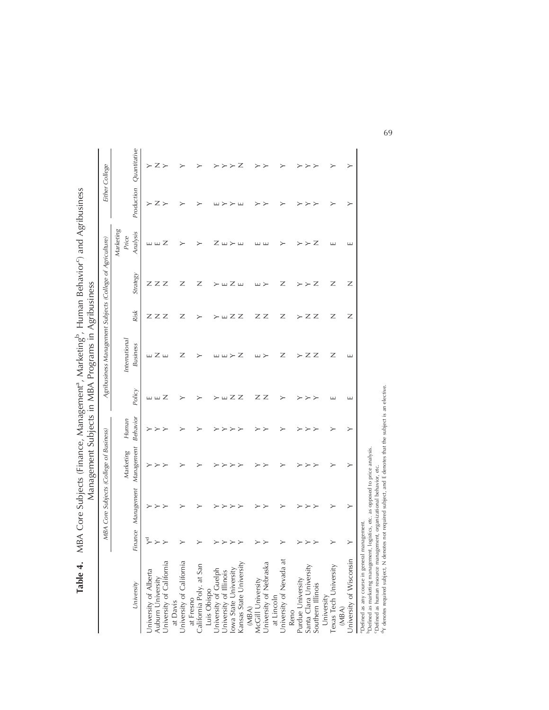|                                                                                                                                                                                         |               | MBA Core Subjects (College of Business)                                  |            |          |                                        | Agribusiness Management Subjects (College of Agriculture) |      |                 |                    |            | Either College |
|-----------------------------------------------------------------------------------------------------------------------------------------------------------------------------------------|---------------|--------------------------------------------------------------------------|------------|----------|----------------------------------------|-----------------------------------------------------------|------|-----------------|--------------------|------------|----------------|
|                                                                                                                                                                                         |               |                                                                          | Marketing  | Human    |                                        | International                                             |      |                 | Marketing<br>Price |            |                |
| University                                                                                                                                                                              | Finance       | Management                                                               | Management | Behavior | Policy                                 | <b>Business</b>                                           | Risk | <b>Strategy</b> | Analysis           | Production | Quantitative   |
|                                                                                                                                                                                         | ⅀             |                                                                          |            |          |                                        |                                                           |      |                 |                    | ≻          |                |
|                                                                                                                                                                                         | $\succ$       | ⋗                                                                        |            |          | $\mathbf{w}$ $\mathbf{w}$ $\mathbf{Z}$ | шΖш                                                       | ZZZ  | ZZZ             | шш $Z$             | Z >        | $\Sigma$ $>$   |
| University of Alberta<br>Auburn University<br>University of California                                                                                                                  | $\rightarrow$ | ⋗                                                                        |            |          |                                        |                                                           |      |                 |                    |            |                |
| at Davis<br>University of California                                                                                                                                                    |               |                                                                          |            |          |                                        |                                                           |      |                 |                    |            |                |
|                                                                                                                                                                                         |               | ≻                                                                        |            |          |                                        | z                                                         | z    | Z               | ≻                  | ≻          |                |
| at Fresno<br>California Poly. at San                                                                                                                                                    |               |                                                                          |            |          |                                        |                                                           |      |                 |                    |            |                |
|                                                                                                                                                                                         |               | ≻                                                                        |            | ≻        |                                        | ≻                                                         | ≻    | Z               | ≻                  | ⋗          |                |
|                                                                                                                                                                                         |               |                                                                          |            |          |                                        |                                                           |      |                 |                    |            |                |
|                                                                                                                                                                                         |               |                                                                          |            |          |                                        | ш                                                         | ≻    | ≻               | Z                  |            |                |
|                                                                                                                                                                                         |               |                                                                          |            |          |                                        |                                                           |      |                 | $\sqcup$           |            |                |
|                                                                                                                                                                                         |               | ⋗                                                                        |            |          |                                        |                                                           | шZZ  | шΖш             |                    |            |                |
|                                                                                                                                                                                         |               |                                                                          |            |          | ΖZ                                     | $\succ$ Z                                                 |      |                 | ш                  | ш          | Z              |
| Luis Obispó<br>University of Guelph<br>University of Illinois<br>Iowa State University<br>Kansas State University<br>(MBA)<br>McGill University<br>University of Nebraska<br>at Lincoln |               |                                                                          |            |          |                                        |                                                           |      |                 |                    |            |                |
|                                                                                                                                                                                         | ≻             | >                                                                        |            |          |                                        |                                                           |      |                 |                    |            |                |
|                                                                                                                                                                                         | ≻             | ⋗                                                                        |            | >        | ΖZ                                     | ш ≻                                                       | ΖZ   | ш ≻             | шш                 | ⋗          |                |
|                                                                                                                                                                                         |               |                                                                          |            |          |                                        |                                                           |      |                 |                    |            |                |
|                                                                                                                                                                                         |               | ⋗                                                                        |            |          | ≻                                      | z                                                         | Z    | z               | ≻                  | ⋗          |                |
| Reno.                                                                                                                                                                                   |               |                                                                          |            |          |                                        |                                                           |      |                 |                    |            |                |
| ncure<br>Purdue University<br>Santa Clara University                                                                                                                                    |               |                                                                          |            |          |                                        |                                                           | ≻    | ≻               |                    |            |                |
|                                                                                                                                                                                         |               |                                                                          |            |          |                                        | $\succ$ Z Z                                               | ΖZ   | ≻               | ≻                  |            |                |
| Southern Illinois                                                                                                                                                                       |               |                                                                          |            |          |                                        |                                                           |      | Ζ               | Z                  | ≻          |                |
| University<br>Texas Tech University                                                                                                                                                     |               |                                                                          |            |          |                                        |                                                           |      |                 |                    |            |                |
|                                                                                                                                                                                         | ≻             | ≻                                                                        |            |          | ш                                      | Z                                                         | Z    | Z               | Щ                  | ⋗          |                |
|                                                                                                                                                                                         |               |                                                                          |            |          |                                        |                                                           |      |                 |                    |            |                |
| (MBA)<br>University of Wisconsin                                                                                                                                                        | ≻             | ≻                                                                        | ≻          | ≻        | ш                                      | ш                                                         | Z    | Z               | ш                  | ≻          | ≻              |
| aDefined as any course in general management.                                                                                                                                           |               |                                                                          |            |          |                                        |                                                           |      |                 |                    |            |                |
| <sup>b</sup> Defined as marketing management, logistics, etc. as opposed to price analysis.<br>"Defined as human resource management, organizational behavior, etc.                     |               |                                                                          |            |          |                                        |                                                           |      |                 |                    |            |                |
| <sup>d</sup> Y denotes required subject, N denot                                                                                                                                        |               | tes not required subject, and E denotes that the subject is an elective. |            |          |                                        |                                                           |      |                 |                    |            |                |

Table 4. MBA Core Subjects (Finance, Management<sup>a</sup>, Marketing<sup>b</sup>, Human Behavior<sup>c</sup>) and Agribusiness **Table 4.** MBA Core Subjects (Finance, Management<sup>a</sup>, Marketing<sup>b</sup>, Human Behavior<sup>c</sup>) and Agribusiness 69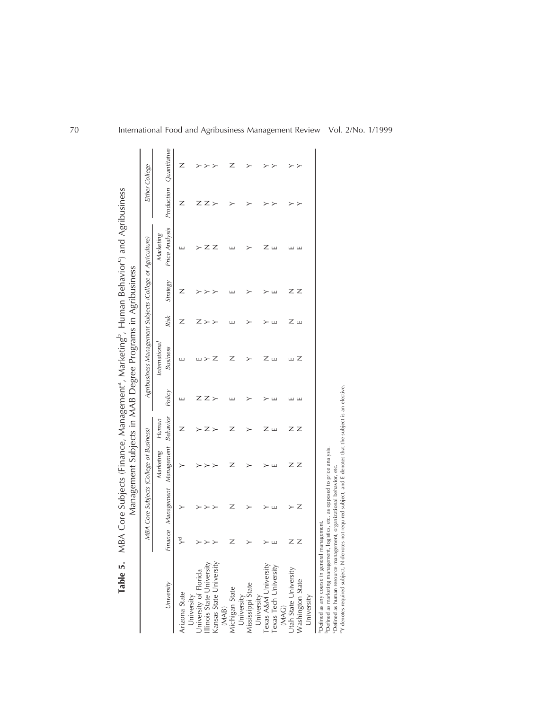|                                                                  |         | MBA Core Subjects (College of Business) |            |          |               | Agribusiness Management Subjects (College of Agriculture) |         |                 |                |               | Either College           |
|------------------------------------------------------------------|---------|-----------------------------------------|------------|----------|---------------|-----------------------------------------------------------|---------|-----------------|----------------|---------------|--------------------------|
|                                                                  | I       |                                         | Marketing  | Human    |               | Internationa                                              |         |                 | Marketing      |               |                          |
| University                                                       | Finance | Management                              | Management | Behavior | Policy        | <b>Business</b>                                           | Risk    | <b>Strategy</b> | Price Analysis | Production    | Quantitative             |
| Arizona State                                                    | ₿       | >                                       | >          | z        | щ             | ш                                                         | Z       | z               | ш              | Z             | z                        |
| University<br>University of Florida<br>Illinois State University | ≻       | $\,>\,$                                 | >          | $\succ$  | Z             | ш                                                         | Z       | $\,>\,$         | >              | Z             | >                        |
|                                                                  | $\succ$ | $\succ$                                 | $\rm{^>}$  |          | Ζ             | $\,>\,$                                                   | $\succ$ | $\,>\,$         | Z              | Ζ             | $\overline{\phantom{1}}$ |
| Kansas State University                                          | $\succ$ | $\succ$                                 | $\succ$    | Z >      | $\rightarrow$ | Ζ                                                         | $\succ$ | $\succ$         | Z              | $\rightarrow$ | >                        |
| (MAB)<br>Michigan State                                          |         |                                         |            |          |               |                                                           |         |                 |                |               |                          |
|                                                                  | z       | z                                       | z          | z        | ш             | Z                                                         | ш       | ш               | Щ              | ≻             | z                        |
|                                                                  |         |                                         |            |          |               |                                                           |         |                 |                |               |                          |
| University<br>Mississippi State                                  | ≻       | $\succ$                                 | ≻          | ≻        | >             | $\succ$                                                   | ≻       | >               | >              | ≻             | ≻                        |
|                                                                  |         |                                         |            |          |               |                                                           |         |                 |                |               |                          |
|                                                                  | $\geq$  | $\overline{ }$                          | >          | Ζш       |               | Z                                                         | >       | ゝ               | z              |               |                          |
| University<br>Texas A&M University<br>Texas Tech University      | Щ       | ш                                       | ш          |          | ш             | $\sqcup$                                                  | ш       | ш               | ш              | ≻             | $\rm{^>}$                |
| (MAG)<br>Utah State University<br>Washington State               |         |                                         |            |          |               |                                                           |         |                 |                |               |                          |
|                                                                  | ZZ      | ≻                                       | ΖZ         | ΖZ       | шш            | $\overline{\phantom{a}}$                                  | Ζш      | ΖZ              | шш             | ≻             | ≻                        |
|                                                                  |         | Ζ                                       |            |          |               |                                                           |         |                 |                | $\succ$       | $\rightarrow$            |
| University                                                       |         |                                         |            |          |               |                                                           |         |                 |                |               |                          |
| Defined as any course in general management                      |         |                                         |            |          |               |                                                           |         |                 |                |               |                          |

bDefined as marketing management, logistics, etc. as opposed to price analysis.

cDefined as human resource management, organizational behavior, etc.

<sup>b</sup>Defined as marketing management, logistics, etc. as opposed to price analysis.<br>"Defined as human resource management, organizational behavior, etc.<br>"Y denotes required subject, N denotes not required subject, and E deno eY denotes required subject, N denotes not required subject, and E denotes that the subject is an elective.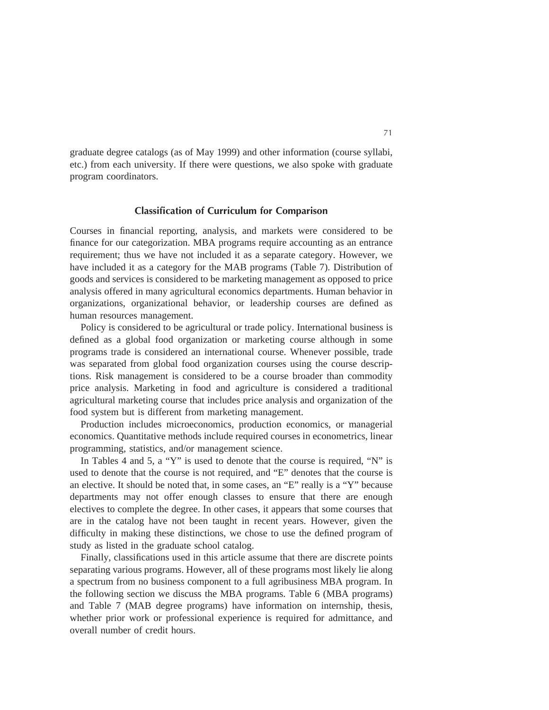graduate degree catalogs (as of May 1999) and other information (course syllabi, etc.) from each university. If there were questions, we also spoke with graduate program coordinators.

#### **Classification of Curriculum for Comparison**

Courses in financial reporting, analysis, and markets were considered to be finance for our categorization. MBA programs require accounting as an entrance requirement; thus we have not included it as a separate category. However, we have included it as a category for the MAB programs (Table 7). Distribution of goods and services is considered to be marketing management as opposed to price analysis offered in many agricultural economics departments. Human behavior in organizations, organizational behavior, or leadership courses are defined as human resources management.

Policy is considered to be agricultural or trade policy. International business is defined as a global food organization or marketing course although in some programs trade is considered an international course. Whenever possible, trade was separated from global food organization courses using the course descriptions. Risk management is considered to be a course broader than commodity price analysis. Marketing in food and agriculture is considered a traditional agricultural marketing course that includes price analysis and organization of the food system but is different from marketing management.

Production includes microeconomics, production economics, or managerial economics. Quantitative methods include required courses in econometrics, linear programming, statistics, and/or management science.

In Tables 4 and 5, a "Y" is used to denote that the course is required, "N" is used to denote that the course is not required, and "E" denotes that the course is an elective. It should be noted that, in some cases, an "E" really is a "Y" because departments may not offer enough classes to ensure that there are enough electives to complete the degree. In other cases, it appears that some courses that are in the catalog have not been taught in recent years. However, given the difficulty in making these distinctions, we chose to use the defined program of study as listed in the graduate school catalog.

Finally, classifications used in this article assume that there are discrete points separating various programs. However, all of these programs most likely lie along a spectrum from no business component to a full agribusiness MBA program. In the following section we discuss the MBA programs. Table 6 (MBA programs) and Table 7 (MAB degree programs) have information on internship, thesis, whether prior work or professional experience is required for admittance, and overall number of credit hours.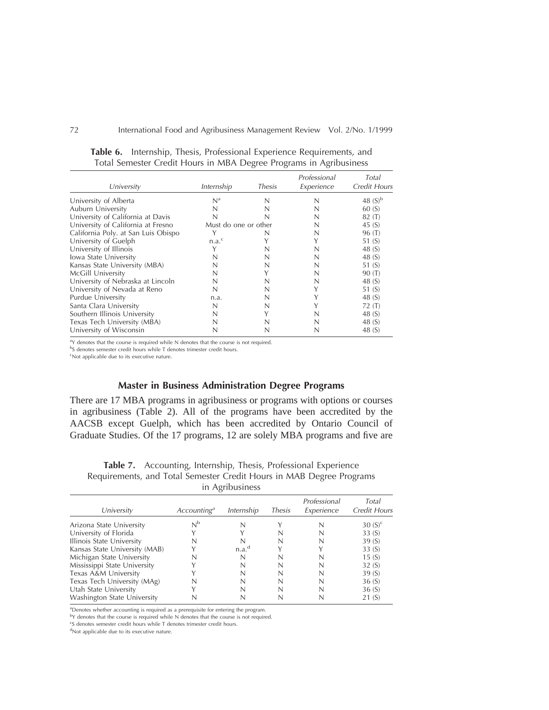| University                          | Internship           | <b>Thesis</b> | Professional<br>Experience | Total<br><b>Credit Hours</b> |
|-------------------------------------|----------------------|---------------|----------------------------|------------------------------|
| University of Alberta               | N <sup>a</sup>       | N             | N                          | 48 $(S)^{b}$                 |
| Auburn University                   |                      |               |                            | 60 (S)                       |
| University of California at Davis   |                      |               |                            | 82(T)                        |
| University of California at Fresno  | Must do one or other |               | N                          | 45 (S)                       |
| California Poly. at San Luis Obispo |                      |               | N                          | 96(T)                        |
| University of Guelph                | n.a. <sup>c</sup>    |               |                            | 51 $(S)$                     |
| University of Illinois              |                      |               |                            | 48 (S)                       |
| lowa State University               | N                    |               |                            | 48 (S)                       |
| Kansas State University (MBA)       | N                    |               | N                          | 51 $(S)$                     |
| McGill University                   | N                    |               | N                          | 90(T)                        |
| University of Nebraska at Lincoln   | N                    |               |                            | 48 (S)                       |
| University of Nevada at Reno        | N                    |               |                            | 51 $(S)$                     |
| Purdue University                   | n.a.                 |               |                            | 48 (S)                       |
| Santa Clara University              | N                    |               |                            | 72(T)                        |
| Southern Illinois University        | N                    |               | N                          | 48 (S)                       |
| Texas Tech University (MBA)         | N                    |               |                            | 48 (S)                       |
| University of Wisconsin             |                      |               |                            | 48 (S)                       |

**Table 6.** Internship, Thesis, Professional Experience Requirements, and Total Semester Credit Hours in MBA Degree Programs in Agribusiness

<sup>a</sup>Y denotes that the course is required while N denotes that the course is not required.

<sup>b</sup>S denotes semester credit hours while T denotes trimester credit hours.

<sup>c</sup>Not applicable due to its executive nature.

#### **Master in Business Administration Degree Programs**

There are 17 MBA programs in agribusiness or programs with options or courses in agribusiness (Table 2). All of the programs have been accredited by the AACSB except Guelph, which has been accredited by Ontario Council of Graduate Studies. Of the 17 programs, 12 are solely MBA programs and five are

**Table 7.** Accounting, Internship, Thesis, Professional Experience Requirements, and Total Semester Credit Hours in MAB Degree Programs in Agribusiness

| University                    | Accounting <sup>a</sup> | Internship        | <b>Thesis</b> | Professional<br>Experience | Total<br><b>Credit Hours</b> |
|-------------------------------|-------------------------|-------------------|---------------|----------------------------|------------------------------|
| Arizona State University      | N <sub>p</sub>          |                   |               |                            | $30 (S)^c$                   |
| University of Florida         |                         |                   |               |                            | 33(S)                        |
| Illinois State University     |                         | N                 |               |                            | 39(S)                        |
| Kansas State University (MAB) |                         | n.a. <sup>d</sup> |               |                            | 33(S)                        |
| Michigan State University     |                         | N                 |               |                            | 15(S)                        |
| Mississippi State University  |                         | N                 |               | N                          | 32(S)                        |
| Texas A&M University          |                         | N                 |               |                            | 39(S)                        |
| Texas Tech University (MAg)   |                         | N                 |               |                            | 36(S)                        |
| Utah State University         |                         | N                 |               |                            | 36(S)                        |
| Washington State University   |                         |                   |               |                            | 21 (S)                       |

<sup>a</sup>Denotes whether accounting is required as a prerequisite for entering the program.

by denotes that the course is required while N denotes that the course is not required.

<sup>c</sup>S denotes semester credit hours while T denotes trimester credit hours.

<sup>d</sup>Not applicable due to its executive nature.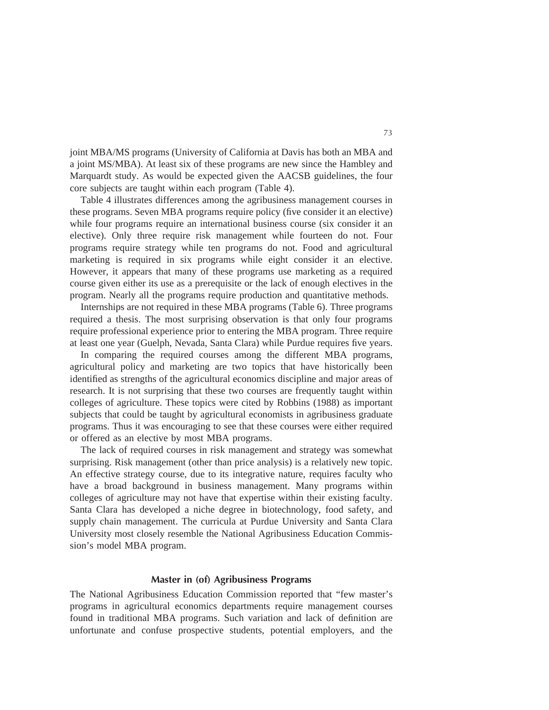joint MBA/MS programs (University of California at Davis has both an MBA and a joint MS/MBA). At least six of these programs are new since the Hambley and Marquardt study. As would be expected given the AACSB guidelines, the four core subjects are taught within each program (Table 4).

Table 4 illustrates differences among the agribusiness management courses in these programs. Seven MBA programs require policy (five consider it an elective) while four programs require an international business course (six consider it an elective). Only three require risk management while fourteen do not. Four programs require strategy while ten programs do not. Food and agricultural marketing is required in six programs while eight consider it an elective. However, it appears that many of these programs use marketing as a required course given either its use as a prerequisite or the lack of enough electives in the program. Nearly all the programs require production and quantitative methods.

Internships are not required in these MBA programs (Table 6). Three programs required a thesis. The most surprising observation is that only four programs require professional experience prior to entering the MBA program. Three require at least one year (Guelph, Nevada, Santa Clara) while Purdue requires five years.

In comparing the required courses among the different MBA programs, agricultural policy and marketing are two topics that have historically been identified as strengths of the agricultural economics discipline and major areas of research. It is not surprising that these two courses are frequently taught within colleges of agriculture. These topics were cited by Robbins (1988) as important subjects that could be taught by agricultural economists in agribusiness graduate programs. Thus it was encouraging to see that these courses were either required or offered as an elective by most MBA programs.

The lack of required courses in risk management and strategy was somewhat surprising. Risk management (other than price analysis) is a relatively new topic. An effective strategy course, due to its integrative nature, requires faculty who have a broad background in business management. Many programs within colleges of agriculture may not have that expertise within their existing faculty. Santa Clara has developed a niche degree in biotechnology, food safety, and supply chain management. The curricula at Purdue University and Santa Clara University most closely resemble the National Agribusiness Education Commission's model MBA program.

## **Master in (of) Agribusiness Programs**

The National Agribusiness Education Commission reported that "few master's programs in agricultural economics departments require management courses found in traditional MBA programs. Such variation and lack of definition are unfortunate and confuse prospective students, potential employers, and the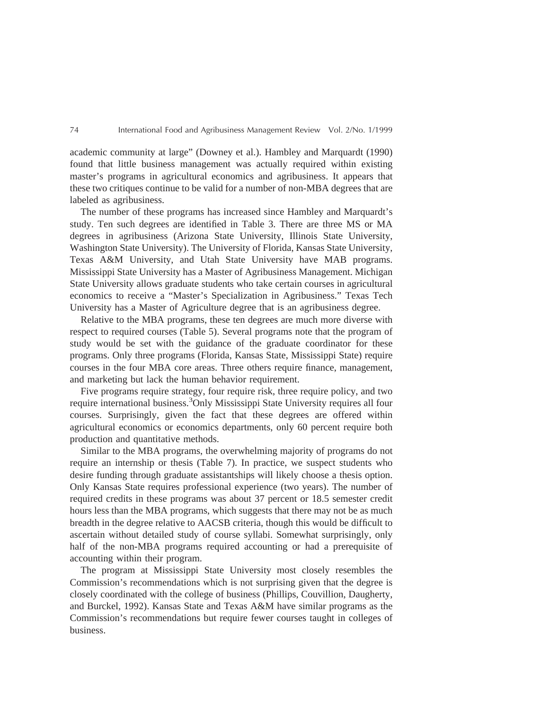academic community at large" (Downey et al.). Hambley and Marquardt (1990) found that little business management was actually required within existing master's programs in agricultural economics and agribusiness. It appears that these two critiques continue to be valid for a number of non-MBA degrees that are labeled as agribusiness.

The number of these programs has increased since Hambley and Marquardt's study. Ten such degrees are identified in Table 3. There are three MS or MA degrees in agribusiness (Arizona State University, Illinois State University, Washington State University). The University of Florida, Kansas State University, Texas A&M University, and Utah State University have MAB programs. Mississippi State University has a Master of Agribusiness Management. Michigan State University allows graduate students who take certain courses in agricultural economics to receive a "Master's Specialization in Agribusiness." Texas Tech University has a Master of Agriculture degree that is an agribusiness degree.

Relative to the MBA programs, these ten degrees are much more diverse with respect to required courses (Table 5). Several programs note that the program of study would be set with the guidance of the graduate coordinator for these programs. Only three programs (Florida, Kansas State, Mississippi State) require courses in the four MBA core areas. Three others require finance, management, and marketing but lack the human behavior requirement.

Five programs require strategy, four require risk, three require policy, and two require international business.<sup>3</sup>Only Mississippi State University requires all four courses. Surprisingly, given the fact that these degrees are offered within agricultural economics or economics departments, only 60 percent require both production and quantitative methods.

Similar to the MBA programs, the overwhelming majority of programs do not require an internship or thesis (Table 7). In practice, we suspect students who desire funding through graduate assistantships will likely choose a thesis option. Only Kansas State requires professional experience (two years). The number of required credits in these programs was about 37 percent or 18.5 semester credit hours less than the MBA programs, which suggests that there may not be as much breadth in the degree relative to AACSB criteria, though this would be difficult to ascertain without detailed study of course syllabi. Somewhat surprisingly, only half of the non-MBA programs required accounting or had a prerequisite of accounting within their program.

The program at Mississippi State University most closely resembles the Commission's recommendations which is not surprising given that the degree is closely coordinated with the college of business (Phillips, Couvillion, Daugherty, and Burckel, 1992). Kansas State and Texas A&M have similar programs as the Commission's recommendations but require fewer courses taught in colleges of business.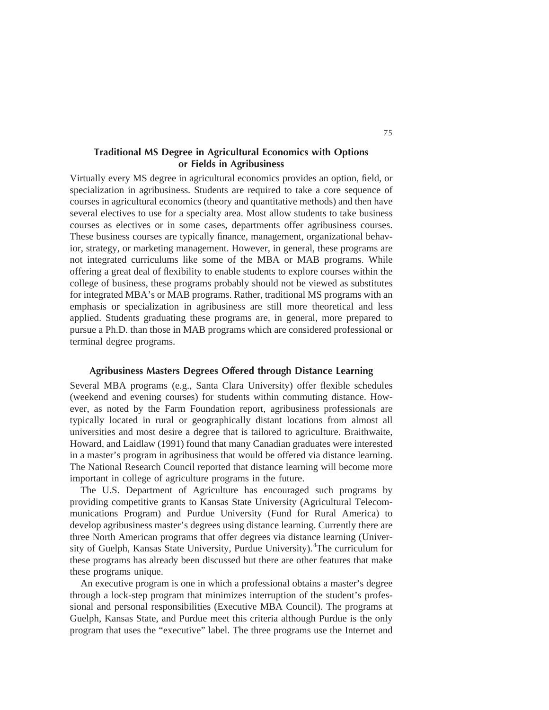# **Traditional MS Degree in Agricultural Economics with Options or Fields in Agribusiness**

Virtually every MS degree in agricultural economics provides an option, field, or specialization in agribusiness. Students are required to take a core sequence of courses in agricultural economics (theory and quantitative methods) and then have several electives to use for a specialty area. Most allow students to take business courses as electives or in some cases, departments offer agribusiness courses. These business courses are typically finance, management, organizational behavior, strategy, or marketing management. However, in general, these programs are not integrated curriculums like some of the MBA or MAB programs. While offering a great deal of flexibility to enable students to explore courses within the college of business, these programs probably should not be viewed as substitutes for integrated MBA's or MAB programs. Rather, traditional MS programs with an emphasis or specialization in agribusiness are still more theoretical and less applied. Students graduating these programs are, in general, more prepared to pursue a Ph.D. than those in MAB programs which are considered professional or terminal degree programs.

#### **Agribusiness Masters Degrees Offered through Distance Learning**

Several MBA programs (e.g., Santa Clara University) offer flexible schedules (weekend and evening courses) for students within commuting distance. However, as noted by the Farm Foundation report, agribusiness professionals are typically located in rural or geographically distant locations from almost all universities and most desire a degree that is tailored to agriculture. Braithwaite, Howard, and Laidlaw (1991) found that many Canadian graduates were interested in a master's program in agribusiness that would be offered via distance learning. The National Research Council reported that distance learning will become more important in college of agriculture programs in the future.

The U.S. Department of Agriculture has encouraged such programs by providing competitive grants to Kansas State University (Agricultural Telecommunications Program) and Purdue University (Fund for Rural America) to develop agribusiness master's degrees using distance learning. Currently there are three North American programs that offer degrees via distance learning (University of Guelph, Kansas State University, Purdue University).<sup>4</sup>The curriculum for these programs has already been discussed but there are other features that make these programs unique.

An executive program is one in which a professional obtains a master's degree through a lock-step program that minimizes interruption of the student's professional and personal responsibilities (Executive MBA Council). The programs at Guelph, Kansas State, and Purdue meet this criteria although Purdue is the only program that uses the "executive" label. The three programs use the Internet and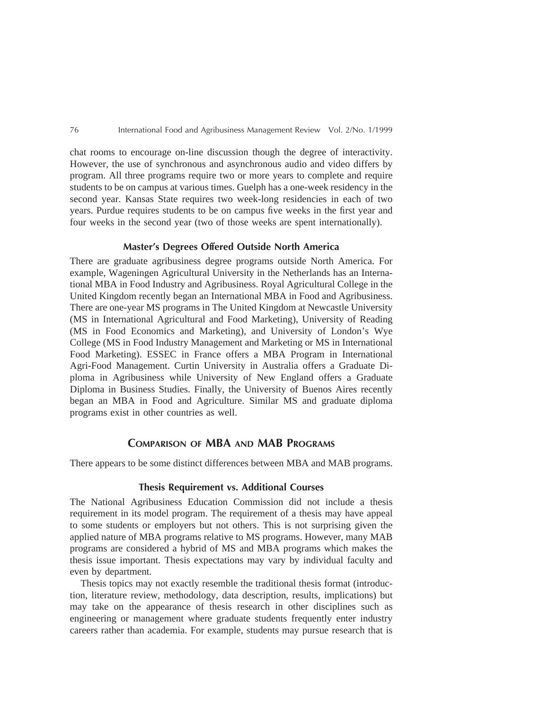chat rooms to encourage on-line discussion though the degree of interactivity. However, the use of synchronous and asynchronous audio and video differs by program. All three programs require two or more years to complete and require students to be on campus at various times. Guelph has a one-week residency in the second year. Kansas State requires two week-long residencies in each of two years. Purdue requires students to be on campus five weeks in the first year and four weeks in the second year (two of those weeks are spent internationally).

#### **Master's Degrees Offered Outside North America**

There are graduate agribusiness degree programs outside North America. For example, Wageningen Agricultural University in the Netherlands has an International MBA in Food Industry and Agribusiness. Royal Agricultural College in the United Kingdom recently began an International MBA in Food and Agribusiness. There are one-year MS programs in The United Kingdom at Newcastle University (MS in International Agricultural and Food Marketing), University of Reading (MS in Food Economics and Marketing), and University of London's Wye College (MS in Food Industry Management and Marketing or MS in International Food Marketing). ESSEC in France offers a MBA Program in International Agri-Food Management. Curtin University in Australia offers a Graduate Diploma in Agribusiness while University of New England offers a Graduate Diploma in Business Studies. Finally, the University of Buenos Aires recently began an MBA in Food and Agriculture. Similar MS and graduate diploma programs exist in other countries as well.

## **COMPARISON OF MBA AND MAB PROGRAMS**

There appears to be some distinct differences between MBA and MAB programs.

## **Thesis Requirement vs. Additional Courses**

The National Agribusiness Education Commission did not include a thesis requirement in its model program. The requirement of a thesis may have appeal to some students or employers but not others. This is not surprising given the applied nature of MBA programs relative to MS programs. However, many MAB programs are considered a hybrid of MS and MBA programs which makes the thesis issue important. Thesis expectations may vary by individual faculty and even by department.

Thesis topics may not exactly resemble the traditional thesis format (introduction, literature review, methodology, data description, results, implications) but may take on the appearance of thesis research in other disciplines such as engineering or management where graduate students frequently enter industry careers rather than academia. For example, students may pursue research that is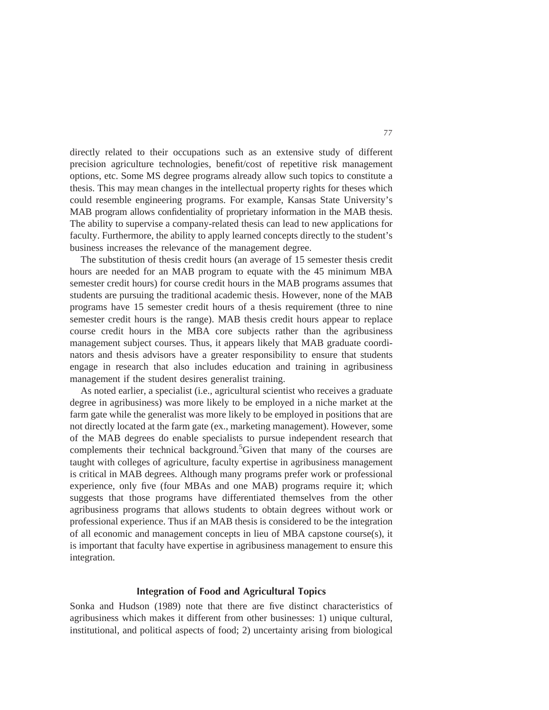directly related to their occupations such as an extensive study of different precision agriculture technologies, benefit/cost of repetitive risk management options, etc. Some MS degree programs already allow such topics to constitute a thesis. This may mean changes in the intellectual property rights for theses which could resemble engineering programs. For example, Kansas State University's MAB program allows confidentiality of proprietary information in the MAB thesis. The ability to supervise a company-related thesis can lead to new applications for faculty. Furthermore, the ability to apply learned concepts directly to the student's business increases the relevance of the management degree.

The substitution of thesis credit hours (an average of 15 semester thesis credit hours are needed for an MAB program to equate with the 45 minimum MBA semester credit hours) for course credit hours in the MAB programs assumes that students are pursuing the traditional academic thesis. However, none of the MAB programs have 15 semester credit hours of a thesis requirement (three to nine semester credit hours is the range). MAB thesis credit hours appear to replace course credit hours in the MBA core subjects rather than the agribusiness management subject courses. Thus, it appears likely that MAB graduate coordinators and thesis advisors have a greater responsibility to ensure that students engage in research that also includes education and training in agribusiness management if the student desires generalist training.

As noted earlier, a specialist (i.e., agricultural scientist who receives a graduate degree in agribusiness) was more likely to be employed in a niche market at the farm gate while the generalist was more likely to be employed in positions that are not directly located at the farm gate (ex., marketing management). However, some of the MAB degrees do enable specialists to pursue independent research that complements their technical background.<sup>5</sup> Given that many of the courses are taught with colleges of agriculture, faculty expertise in agribusiness management is critical in MAB degrees. Although many programs prefer work or professional experience, only five (four MBAs and one MAB) programs require it; which suggests that those programs have differentiated themselves from the other agribusiness programs that allows students to obtain degrees without work or professional experience. Thus if an MAB thesis is considered to be the integration of all economic and management concepts in lieu of MBA capstone course(s), it is important that faculty have expertise in agribusiness management to ensure this integration.

## **Integration of Food and Agricultural Topics**

Sonka and Hudson (1989) note that there are five distinct characteristics of agribusiness which makes it different from other businesses: 1) unique cultural, institutional, and political aspects of food; 2) uncertainty arising from biological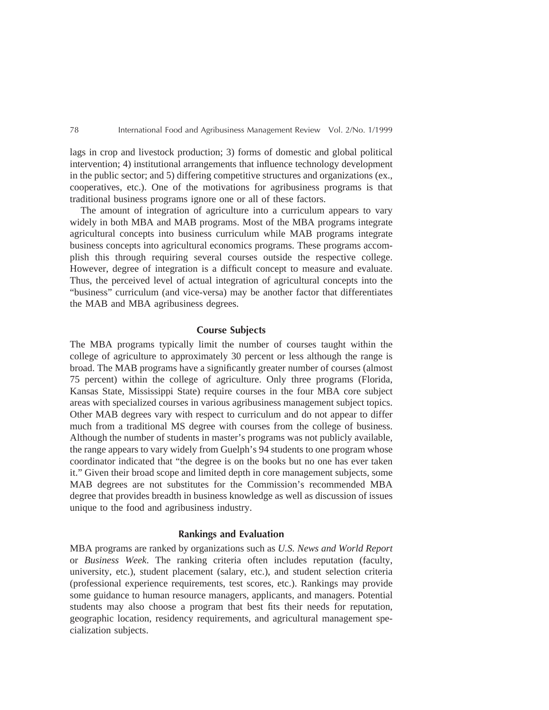lags in crop and livestock production; 3) forms of domestic and global political intervention; 4) institutional arrangements that influence technology development in the public sector; and 5) differing competitive structures and organizations (ex., cooperatives, etc.). One of the motivations for agribusiness programs is that traditional business programs ignore one or all of these factors.

The amount of integration of agriculture into a curriculum appears to vary widely in both MBA and MAB programs. Most of the MBA programs integrate agricultural concepts into business curriculum while MAB programs integrate business concepts into agricultural economics programs. These programs accomplish this through requiring several courses outside the respective college. However, degree of integration is a difficult concept to measure and evaluate. Thus, the perceived level of actual integration of agricultural concepts into the "business" curriculum (and vice-versa) may be another factor that differentiates the MAB and MBA agribusiness degrees.

#### **Course Subjects**

The MBA programs typically limit the number of courses taught within the college of agriculture to approximately 30 percent or less although the range is broad. The MAB programs have a significantly greater number of courses (almost 75 percent) within the college of agriculture. Only three programs (Florida, Kansas State, Mississippi State) require courses in the four MBA core subject areas with specialized courses in various agribusiness management subject topics. Other MAB degrees vary with respect to curriculum and do not appear to differ much from a traditional MS degree with courses from the college of business. Although the number of students in master's programs was not publicly available, the range appears to vary widely from Guelph's 94 students to one program whose coordinator indicated that "the degree is on the books but no one has ever taken it." Given their broad scope and limited depth in core management subjects, some MAB degrees are not substitutes for the Commission's recommended MBA degree that provides breadth in business knowledge as well as discussion of issues unique to the food and agribusiness industry.

#### **Rankings and Evaluation**

MBA programs are ranked by organizations such as *U.S. News and World Report* or *Business Week*. The ranking criteria often includes reputation (faculty, university, etc.), student placement (salary, etc.), and student selection criteria (professional experience requirements, test scores, etc.). Rankings may provide some guidance to human resource managers, applicants, and managers. Potential students may also choose a program that best fits their needs for reputation, geographic location, residency requirements, and agricultural management specialization subjects.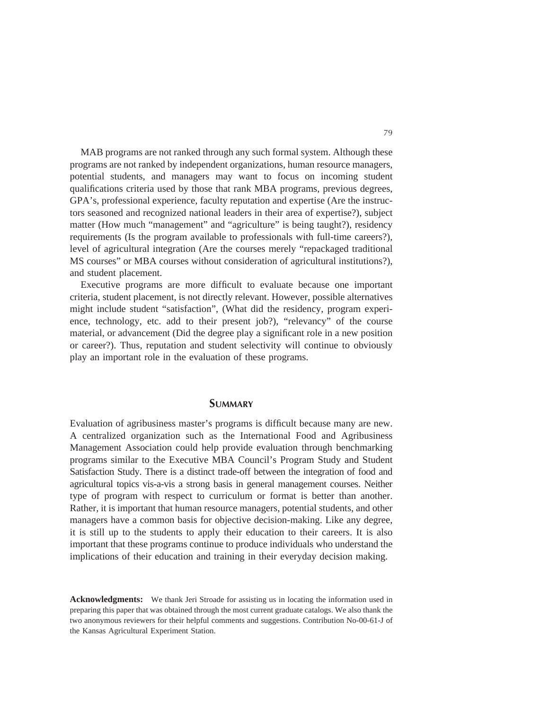MAB programs are not ranked through any such formal system. Although these programs are not ranked by independent organizations, human resource managers, potential students, and managers may want to focus on incoming student qualifications criteria used by those that rank MBA programs, previous degrees, GPA's, professional experience, faculty reputation and expertise (Are the instructors seasoned and recognized national leaders in their area of expertise?), subject matter (How much "management" and "agriculture" is being taught?), residency requirements (Is the program available to professionals with full-time careers?), level of agricultural integration (Are the courses merely "repackaged traditional MS courses" or MBA courses without consideration of agricultural institutions?), and student placement.

Executive programs are more difficult to evaluate because one important criteria, student placement, is not directly relevant. However, possible alternatives might include student "satisfaction", (What did the residency, program experience, technology, etc. add to their present job?), "relevancy" of the course material, or advancement (Did the degree play a significant role in a new position or career?). Thus, reputation and student selectivity will continue to obviously play an important role in the evaluation of these programs.

## **SUMMARY**

Evaluation of agribusiness master's programs is difficult because many are new. A centralized organization such as the International Food and Agribusiness Management Association could help provide evaluation through benchmarking programs similar to the Executive MBA Council's Program Study and Student Satisfaction Study. There is a distinct trade-off between the integration of food and agricultural topics vis-a-vis a strong basis in general management courses. Neither type of program with respect to curriculum or format is better than another. Rather, it is important that human resource managers, potential students, and other managers have a common basis for objective decision-making. Like any degree, it is still up to the students to apply their education to their careers. It is also important that these programs continue to produce individuals who understand the implications of their education and training in their everyday decision making.

**Acknowledgments:** We thank Jeri Stroade for assisting us in locating the information used in preparing this paper that was obtained through the most current graduate catalogs. We also thank the two anonymous reviewers for their helpful comments and suggestions. Contribution No-00-61-J of the Kansas Agricultural Experiment Station.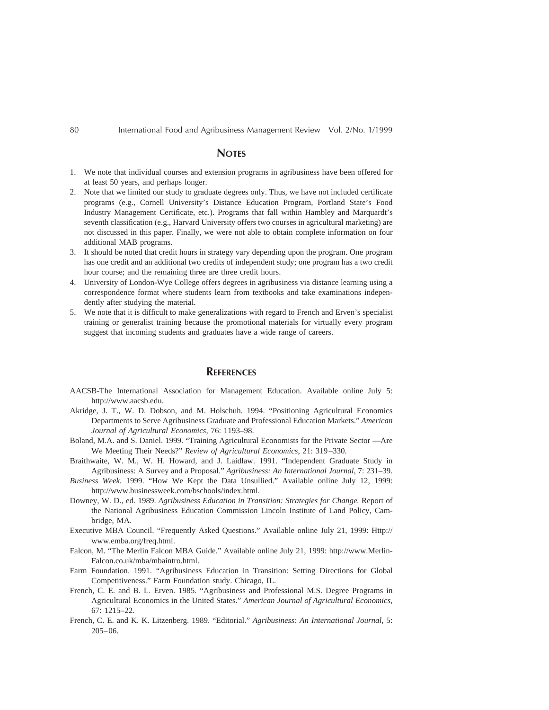# **NOTES**

- 1. We note that individual courses and extension programs in agribusiness have been offered for at least 50 years, and perhaps longer.
- 2. Note that we limited our study to graduate degrees only. Thus, we have not included certificate programs (e.g., Cornell University's Distance Education Program, Portland State's Food Industry Management Certificate, etc.). Programs that fall within Hambley and Marquardt's seventh classification (e.g., Harvard University offers two courses in agricultural marketing) are not discussed in this paper. Finally, we were not able to obtain complete information on four additional MAB programs.
- 3. It should be noted that credit hours in strategy vary depending upon the program. One program has one credit and an additional two credits of independent study; one program has a two credit hour course; and the remaining three are three credit hours.
- 4. University of London-Wye College offers degrees in agribusiness via distance learning using a correspondence format where students learn from textbooks and take examinations independently after studying the material.
- 5. We note that it is difficult to make generalizations with regard to French and Erven's specialist training or generalist training because the promotional materials for virtually every program suggest that incoming students and graduates have a wide range of careers.

## **REFERENCES**

- AACSB-The International Association for Management Education. Available online July 5: http://www.aacsb.edu.
- Akridge, J. T., W. D. Dobson, and M. Holschuh. 1994. "Positioning Agricultural Economics Departments to Serve Agribusiness Graduate and Professional Education Markets." *American Journal of Agricultural Economics*, 76: 1193–98.
- Boland, M.A. and S. Daniel. 1999. "Training Agricultural Economists for the Private Sector —Are We Meeting Their Needs?" *Review of Agricultural Economics*, 21: 319–330.
- Braithwaite, W. M., W. H. Howard, and J. Laidlaw. 1991. "Independent Graduate Study in Agribusiness: A Survey and a Proposal." *Agribusiness: An International Journal*, 7: 231–39.
- *Business Week.* 1999. "How We Kept the Data Unsullied." Available online July 12, 1999: http://www.businessweek.com/bschools/index.html.
- Downey, W. D., ed. 1989. *Agribusiness Education in Transition: Strategies for Change.* Report of the National Agribusiness Education Commission Lincoln Institute of Land Policy, Cambridge, MA.
- Executive MBA Council. "Frequently Asked Questions." Available online July 21, 1999: Http:// www.emba.org/freq.html.
- Falcon, M. "The Merlin Falcon MBA Guide." Available online July 21, 1999: http://www.Merlin-Falcon.co.uk/mba/mbaintro.html.
- Farm Foundation. 1991. "Agribusiness Education in Transition: Setting Directions for Global Competitiveness." Farm Foundation study. Chicago, IL.
- French, C. E. and B. L. Erven. 1985. "Agribusiness and Professional M.S. Degree Programs in Agricultural Economics in the United States." *American Journal of Agricultural Economics*, 67: 1215–22.
- French, C. E. and K. K. Litzenberg. 1989. "Editorial." *Agribusiness: An International Journal*, 5: 205–06.